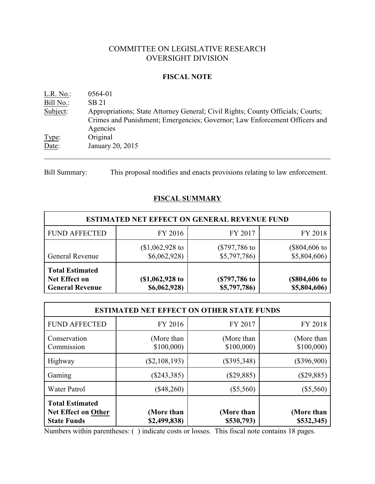# COMMITTEE ON LEGISLATIVE RESEARCH OVERSIGHT DIVISION

## **FISCAL NOTE**

| L.R. No.  | 0564-01                                                                                                                                                                   |
|-----------|---------------------------------------------------------------------------------------------------------------------------------------------------------------------------|
| Bill No.: | SB 21                                                                                                                                                                     |
| Subject:  | Appropriations; State Attorney General; Civil Rights; County Officials; Courts;<br>Crimes and Punishment; Emergencies; Governor; Law Enforcement Officers and<br>Agencies |
| Type:     | Original                                                                                                                                                                  |
| Date:     | January 20, 2015                                                                                                                                                          |

Bill Summary: This proposal modifies and enacts provisions relating to law enforcement.

# **FISCAL SUMMARY**

| <b>ESTIMATED NET EFFECT ON GENERAL REVENUE FUND</b>               |                                  |                                |                                        |  |  |
|-------------------------------------------------------------------|----------------------------------|--------------------------------|----------------------------------------|--|--|
| <b>FUND AFFECTED</b>                                              | FY 2016                          | FY 2017                        | FY 2018                                |  |  |
| <b>General Revenue</b>                                            | $$1,062,928$ to<br>\$6,062,928\$ | $(\$797,786$ to<br>\$5,797,786 | $($804,606 \text{ to}$<br>\$5,804,606) |  |  |
| <b>Total Estimated</b><br>Net Effect on<br><b>General Revenue</b> | (\$1,062,928 to<br>\$6,062,928\$ | (\$797,786 to<br>\$5,797,786)  | (\$804,606 to<br>\$5,804,606)          |  |  |

| <b>ESTIMATED NET EFFECT ON OTHER STATE FUNDS</b>                           |                            |                          |                          |  |  |
|----------------------------------------------------------------------------|----------------------------|--------------------------|--------------------------|--|--|
| <b>FUND AFFECTED</b>                                                       | FY 2016                    | FY 2017                  | FY 2018                  |  |  |
| Conservation<br>Commission                                                 | (More than<br>\$100,000    | (More than<br>\$100,000  | (More than<br>\$100,000  |  |  |
| Highway                                                                    | $(\$2,108,193)$            | $(\$395,348)$            | $(\$396,900)$            |  |  |
| Gaming                                                                     | $(\$243,385)$              | $(\$29,885)$             | $(\$29,885)$             |  |  |
| <b>Water Patrol</b>                                                        | $(\$48,260)$               | $(\$5,560)$              | $(\$5,560)$              |  |  |
| <b>Total Estimated</b><br><b>Net Effect on Other</b><br><b>State Funds</b> | (More than<br>\$2,499,838) | (More than<br>\$530,793) | (More than<br>\$532,345) |  |  |

Numbers within parentheses: ( ) indicate costs or losses. This fiscal note contains 18 pages.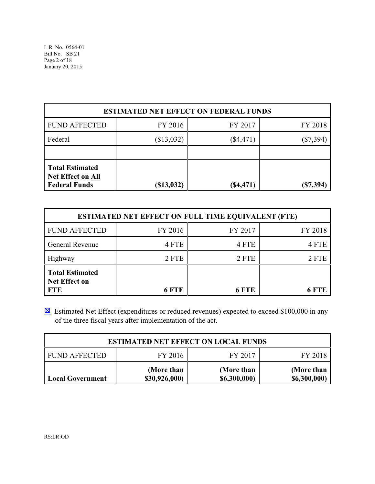| <b>ESTIMATED NET EFFECT ON FEDERAL FUNDS</b>                               |                  |             |             |  |  |
|----------------------------------------------------------------------------|------------------|-------------|-------------|--|--|
| <b>FUND AFFECTED</b>                                                       | FY 2016          | FY 2017     | FY 2018     |  |  |
| Federal                                                                    | (\$13,032)       | $(\$4,471)$ | (\$7,394)   |  |  |
|                                                                            |                  |             |             |  |  |
| <b>Total Estimated</b><br><b>Net Effect on All</b><br><b>Federal Funds</b> | $($ \$13,032 $)$ | $(\$4,471)$ | $(\$7,394)$ |  |  |

| <b>ESTIMATED NET EFFECT ON FULL TIME EQUIVALENT (FTE)</b>    |              |         |         |  |  |
|--------------------------------------------------------------|--------------|---------|---------|--|--|
| <b>FUND AFFECTED</b>                                         | FY 2016      | FY 2017 | FY 2018 |  |  |
| General Revenue                                              | 4 FTE        | 4 FTE   | 4 FTE   |  |  |
| Highway                                                      | 2 FTE        | 2 FTE   | 2 FTE   |  |  |
| <b>Total Estimated</b><br><b>Net Effect on</b><br><b>FTE</b> | <b>6 FTE</b> | 6 FTE   | 6 FTE   |  |  |

 $\boxtimes$  Estimated Net Effect (expenditures or reduced revenues) expected to exceed \$100,000 in any of the three fiscal years after implementation of the act.

| <b>ESTIMATED NET EFFECT ON LOCAL FUNDS</b>                                                                         |  |  |  |  |  |  |
|--------------------------------------------------------------------------------------------------------------------|--|--|--|--|--|--|
| FY 2016<br>FY 2017<br><b>FUND AFFECTED</b><br>FY 2018                                                              |  |  |  |  |  |  |
| (More than<br>(More than<br>(More than<br>\$30,926,000)<br>\$6,300,000)<br>\$6,300,000)<br><b>Local Government</b> |  |  |  |  |  |  |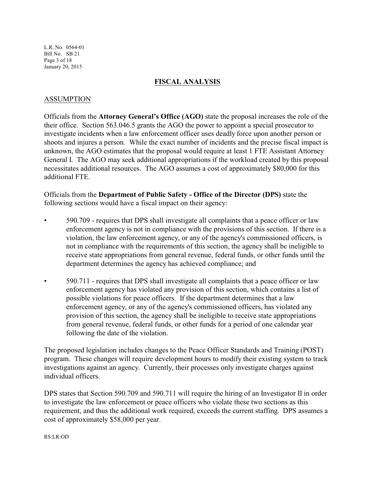L.R. No. 0564-01 Bill No. SB 21 Page 3 of 18 January 20, 2015

## **FISCAL ANALYSIS**

### ASSUMPTION

Officials from the **Attorney General's Office (AGO)** state the proposal increases the role of the their office. Section 563.046.5 grants the AGO the power to appoint a special prosecutor to investigate incidents when a law enforcement officer uses deadly force upon another person or shoots and injures a person. While the exact number of incidents and the precise fiscal impact is unknown, the AGO estimates that the proposal would require at least 1 FTE Assistant Attorney General I. The AGO may seek additional appropriations if the workload created by this proposal necessitates additional resources. The AGO assumes a cost of approximately \$80,000 for this additional FTE.

Officials from the **Department of Public Safety - Office of the Director (DPS)** state the following sections would have a fiscal impact on their agency:

- 590.709 requires that DPS shall investigate all complaints that a peace officer or law enforcement agency is not in compliance with the provisions of this section. If there is a violation, the law enforcement agency, or any of the agency's commissioned officers, is not in compliance with the requirements of this section, the agency shall be ineligible to receive state appropriations from general revenue, federal funds, or other funds until the department determines the agency has achieved compliance; and
- 590.711 requires that DPS shall investigate all complaints that a peace officer or law enforcement agency has violated any provision of this section, which contains a list of possible violations for peace officers. If the department determines that a law enforcement agency, or any of the agency's commissioned officers, has violated any provision of this section, the agency shall be ineligible to receive state appropriations from general revenue, federal funds, or other funds for a period of one calendar year following the date of the violation.

The proposed legislation includes changes to the Peace Officer Standards and Training (POST) program. These changes will require development hours to modify their existing system to track investigations against an agency. Currently, their processes only investigate charges against individual officers.

DPS states that Section 590.709 and 590.711 will require the hiring of an Investigator II in order to investigate the law enforcement or peace officers who violate these two sections as this requirement, and thus the additional work required, exceeds the current staffing. DPS assumes a cost of approximately \$58,000 per year.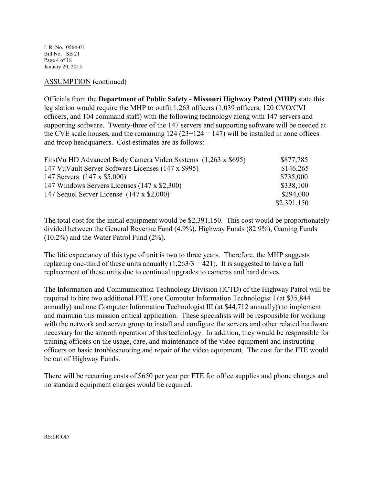L.R. No. 0564-01 Bill No. SB 21 Page 4 of 18 January 20, 2015

## ASSUMPTION (continued)

Officials from the **Department of Public Safety - Missouri Highway Patrol (MHP)** state this legislation would require the MHP to outfit 1,263 officers (1,039 officers, 120 CVO/CVI officers, and 104 command staff) with the following technology along with 147 servers and supporting software. Twenty-three of the 147 servers and supporting software will be needed at the CVE scale houses, and the remaining  $124 (23+124 = 147)$  will be installed in zone offices and troop headquarters. Cost estimates are as follows:

| First Vu HD Advanced Body Camera Video Systems (1,263 x \$695) | \$877,785   |
|----------------------------------------------------------------|-------------|
| 147 VuVault Server Software Licenses (147 x \$995)             | \$146,265   |
| 147 Servers (147 x \$5,000)                                    | \$735,000   |
| 147 Windows Servers Licenses (147 x \$2,300)                   | \$338,100   |
| 147 Sequel Server License (147 x \$2,000)                      | \$294,000   |
|                                                                | \$2,391,150 |

The total cost for the initial equipment would be \$2,391,150. This cost would be proportionately divided between the General Revenue Fund (4.9%), Highway Funds (82.9%), Gaming Funds (10.2%) and the Water Patrol Fund (2%).

The life expectancy of this type of unit is two to three years. Therefore, the MHP suggests replacing one-third of these units annually  $(1,263/3 = 421)$ . It is suggested to have a full replacement of these units due to continual upgrades to cameras and hard drives.

The Information and Communication Technology Division (ICTD) of the Highway Patrol will be required to hire two additional FTE (one Computer Information Technologist I (at \$35,844 annually) and one Computer Information Technologist III (at \$44,712 annually)) to implement and maintain this mission critical application. These specialists will be responsible for working with the network and server group to install and configure the servers and other related hardware necessary for the smooth operation of this technology. In addition, they would be responsible for training officers on the usage, care, and maintenance of the video equipment and instructing officers on basic troubleshooting and repair of the video equipment. The cost for the FTE would be out of Highway Funds.

There will be recurring costs of \$650 per year per FTE for office supplies and phone charges and no standard equipment charges would be required.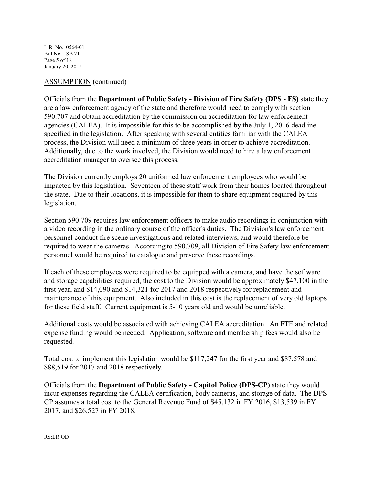L.R. No. 0564-01 Bill No. SB 21 Page 5 of 18 January 20, 2015

## ASSUMPTION (continued)

Officials from the **Department of Public Safety - Division of Fire Safety (DPS - FS)** state they are a law enforcement agency of the state and therefore would need to comply with section 590.707 and obtain accreditation by the commission on accreditation for law enforcement agencies (CALEA). It is impossible for this to be accomplished by the July 1, 2016 deadline specified in the legislation. After speaking with several entities familiar with the CALEA process, the Division will need a minimum of three years in order to achieve accreditation. Additionally, due to the work involved, the Division would need to hire a law enforcement accreditation manager to oversee this process.

The Division currently employs 20 uniformed law enforcement employees who would be impacted by this legislation. Seventeen of these staff work from their homes located throughout the state. Due to their locations, it is impossible for them to share equipment required by this legislation.

Section 590.709 requires law enforcement officers to make audio recordings in conjunction with a video recording in the ordinary course of the officer's duties. The Division's law enforcement personnel conduct fire scene investigations and related interviews, and would therefore be required to wear the cameras. According to 590.709, all Division of Fire Safety law enforcement personnel would be required to catalogue and preserve these recordings.

If each of these employees were required to be equipped with a camera, and have the software and storage capabilities required, the cost to the Division would be approximately \$47,100 in the first year, and \$14,090 and \$14,321 for 2017 and 2018 respectively for replacement and maintenance of this equipment. Also included in this cost is the replacement of very old laptops for these field staff. Current equipment is 5-10 years old and would be unreliable.

Additional costs would be associated with achieving CALEA accreditation. An FTE and related expense funding would be needed. Application, software and membership fees would also be requested.

Total cost to implement this legislation would be \$117,247 for the first year and \$87,578 and \$88,519 for 2017 and 2018 respectively.

Officials from the **Department of Public Safety - Capitol Police (DPS-CP)** state they would incur expenses regarding the CALEA certification, body cameras, and storage of data. The DPS-CP assumes a total cost to the General Revenue Fund of \$45,132 in FY 2016, \$13,539 in FY 2017, and \$26,527 in FY 2018.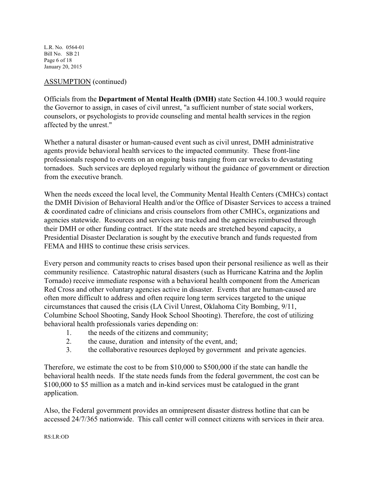L.R. No. 0564-01 Bill No. SB 21 Page 6 of 18 January 20, 2015

## ASSUMPTION (continued)

Officials from the **Department of Mental Health (DMH)** state Section 44.100.3 would require the Governor to assign, in cases of civil unrest, "a sufficient number of state social workers, counselors, or psychologists to provide counseling and mental health services in the region affected by the unrest."

Whether a natural disaster or human-caused event such as civil unrest, DMH administrative agents provide behavioral health services to the impacted community. These front-line professionals respond to events on an ongoing basis ranging from car wrecks to devastating tornadoes. Such services are deployed regularly without the guidance of government or direction from the executive branch.

When the needs exceed the local level, the Community Mental Health Centers (CMHCs) contact the DMH Division of Behavioral Health and/or the Office of Disaster Services to access a trained & coordinated cadre of clinicians and crisis counselors from other CMHCs, organizations and agencies statewide. Resources and services are tracked and the agencies reimbursed through their DMH or other funding contract. If the state needs are stretched beyond capacity, a Presidential Disaster Declaration is sought by the executive branch and funds requested from FEMA and HHS to continue these crisis services.

Every person and community reacts to crises based upon their personal resilience as well as their community resilience. Catastrophic natural disasters (such as Hurricane Katrina and the Joplin Tornado) receive immediate response with a behavioral health component from the American Red Cross and other voluntary agencies active in disaster. Events that are human-caused are often more difficult to address and often require long term services targeted to the unique circumstances that caused the crisis (LA Civil Unrest, Oklahoma City Bombing, 9/11, Columbine School Shooting, Sandy Hook School Shooting). Therefore, the cost of utilizing behavioral health professionals varies depending on:

- 1. the needs of the citizens and community;
- 2. the cause, duration and intensity of the event, and;
- 3. the collaborative resources deployed by government and private agencies.

Therefore, we estimate the cost to be from \$10,000 to \$500,000 if the state can handle the behavioral health needs. If the state needs funds from the federal government, the cost can be \$100,000 to \$5 million as a match and in-kind services must be catalogued in the grant application.

Also, the Federal government provides an omnipresent disaster distress hotline that can be accessed 24/7/365 nationwide. This call center will connect citizens with services in their area.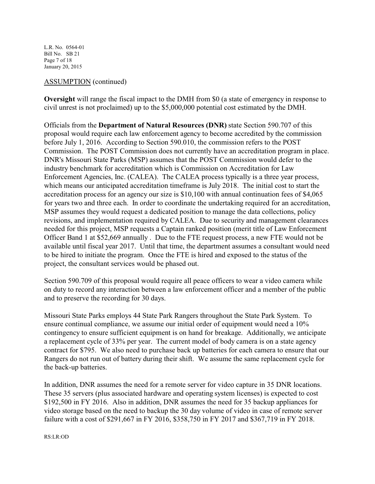L.R. No. 0564-01 Bill No. SB 21 Page 7 of 18 January 20, 2015

## ASSUMPTION (continued)

**Oversight** will range the fiscal impact to the DMH from \$0 (a state of emergency in response to civil unrest is not proclaimed) up to the \$5,000,000 potential cost estimated by the DMH.

Officials from the **Department of Natural Resources (DNR)** state Section 590.707 of this proposal would require each law enforcement agency to become accredited by the commission before July 1, 2016. According to Section 590.010, the commission refers to the POST Commission. The POST Commission does not currently have an accreditation program in place. DNR's Missouri State Parks (MSP) assumes that the POST Commission would defer to the industry benchmark for accreditation which is Commission on Accreditation for Law Enforcement Agencies, Inc. (CALEA). The CALEA process typically is a three year process, which means our anticipated accreditation timeframe is July 2018. The initial cost to start the accreditation process for an agency our size is \$10,100 with annual continuation fees of \$4,065 for years two and three each. In order to coordinate the undertaking required for an accreditation, MSP assumes they would request a dedicated position to manage the data collections, policy revisions, and implementation required by CALEA. Due to security and management clearances needed for this project, MSP requests a Captain ranked position (merit title of Law Enforcement Officer Band 1 at \$52,669 annually . Due to the FTE request process, a new FTE would not be available until fiscal year 2017. Until that time, the department assumes a consultant would need to be hired to initiate the program. Once the FTE is hired and exposed to the status of the project, the consultant services would be phased out.

Section 590.709 of this proposal would require all peace officers to wear a video camera while on duty to record any interaction between a law enforcement officer and a member of the public and to preserve the recording for 30 days.

Missouri State Parks employs 44 State Park Rangers throughout the State Park System. To ensure continual compliance, we assume our initial order of equipment would need a 10% contingency to ensure sufficient equipment is on hand for breakage. Additionally, we anticipate a replacement cycle of 33% per year. The current model of body camera is on a state agency contract for \$795. We also need to purchase back up batteries for each camera to ensure that our Rangers do not run out of battery during their shift. We assume the same replacement cycle for the back-up batteries.

In addition, DNR assumes the need for a remote server for video capture in 35 DNR locations. These 35 servers (plus associated hardware and operating system licenses) is expected to cost \$192,500 in FY 2016. Also in addition, DNR assumes the need for 35 backup appliances for video storage based on the need to backup the 30 day volume of video in case of remote server failure with a cost of \$291,667 in FY 2016, \$358,750 in FY 2017 and \$367,719 in FY 2018.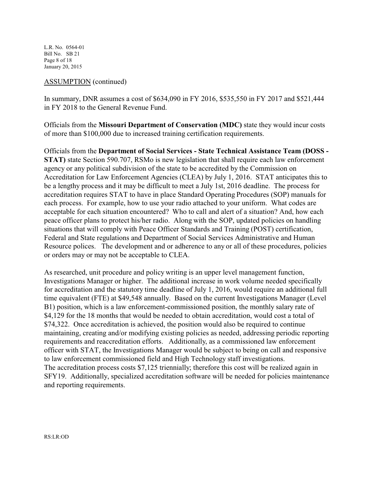L.R. No. 0564-01 Bill No. SB 21 Page 8 of 18 January 20, 2015

## ASSUMPTION (continued)

In summary, DNR assumes a cost of \$634,090 in FY 2016, \$535,550 in FY 2017 and \$521,444 in FY 2018 to the General Revenue Fund.

Officials from the **Missouri Department of Conservation (MDC)** state they would incur costs of more than \$100,000 due to increased training certification requirements.

Officials from the **Department of Social Services - State Technical Assistance Team (DOSS - STAT)** state Section 590.707, RSMo is new legislation that shall require each law enforcement agency or any political subdivision of the state to be accredited by the Commission on Accreditation for Law Enforcement Agencies (CLEA) by July 1, 2016. STAT anticipates this to be a lengthy process and it may be difficult to meet a July 1st, 2016 deadline. The process for accreditation requires STAT to have in place Standard Operating Procedures (SOP) manuals for each process. For example, how to use your radio attached to your uniform. What codes are acceptable for each situation encountered? Who to call and alert of a situation? And, how each peace officer plans to protect his/her radio. Along with the SOP, updated policies on handling situations that will comply with Peace Officer Standards and Training (POST) certification, Federal and State regulations and Department of Social Services Administrative and Human Resource polices. The development and or adherence to any or all of these procedures, policies or orders may or may not be acceptable to CLEA.

As researched, unit procedure and policy writing is an upper level management function, Investigations Manager or higher. The additional increase in work volume needed specifically for accreditation and the statutory time deadline of July 1, 2016, would require an additional full time equivalent (FTE) at \$49,548 annually. Based on the current Investigations Manager (Level B1) position, which is a law enforcement-commissioned position, the monthly salary rate of \$4,129 for the 18 months that would be needed to obtain accreditation, would cost a total of \$74,322. Once accreditation is achieved, the position would also be required to continue maintaining, creating and/or modifying existing policies as needed, addressing periodic reporting requirements and reaccreditation efforts. Additionally, as a commissioned law enforcement officer with STAT, the Investigations Manager would be subject to being on call and responsive to law enforcement commissioned field and High Technology staff investigations. The accreditation process costs \$7,125 triennially; therefore this cost will be realized again in SFY19. Additionally, specialized accreditation software will be needed for policies maintenance and reporting requirements.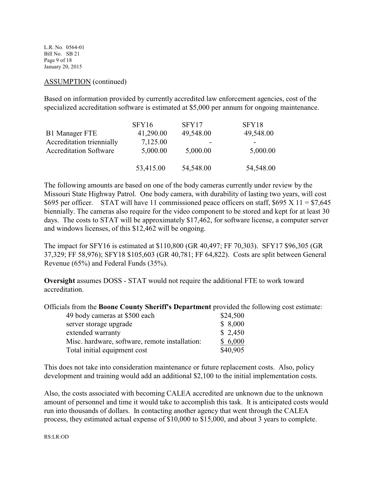L.R. No. 0564-01 Bill No. SB 21 Page 9 of 18 January 20, 2015

### ASSUMPTION (continued)

Based on information provided by currently accredited law enforcement agencies, cost of the specialized accreditation software is estimated at \$5,000 per annum for ongoing maintenance.

|                               | SFY16     | SFY17     | SFY18     |
|-------------------------------|-----------|-----------|-----------|
| <b>B1</b> Manager FTE         | 41,290.00 | 49,548.00 | 49,548.00 |
| Accreditation triennially     | 7,125.00  |           |           |
| <b>Accreditation Software</b> | 5,000.00  | 5,000.00  | 5,000.00  |
|                               |           |           |           |
|                               | 53,415.00 | 54,548.00 | 54,548.00 |

The following amounts are based on one of the body cameras currently under review by the Missouri State Highway Patrol. One body camera, with durability of lasting two years, will cost \$695 per officer. STAT will have 11 commissioned peace officers on staff, \$695 X 11 = \$7,645 biennially. The cameras also require for the video component to be stored and kept for at least 30 days. The costs to STAT will be approximately \$17,462, for software license, a computer server and windows licenses, of this \$12,462 will be ongoing.

The impact for SFY16 is estimated at \$110,800 (GR 40,497; FF 70,303). SFY17 \$96,305 (GR 37,329; FF 58,976); SFY18 \$105,603 (GR 40,781; FF 64,822). Costs are split between General Revenue (65%) and Federal Funds (35%).

**Oversight** assumes DOSS - STAT would not require the additional FTE to work toward accreditation.

Officials from the **Boone County Sheriff's Department** provided the following cost estimate:

| 49 body cameras at \$500 each                  | \$24,500 |
|------------------------------------------------|----------|
| server storage upgrade                         | \$8,000  |
| extended warranty                              | \$2,450  |
| Misc. hardware, software, remote installation: | \$6,000  |
| Total initial equipment cost                   | \$40,905 |

This does not take into consideration maintenance or future replacement costs. Also, policy development and training would add an additional \$2,100 to the initial implementation costs.

Also, the costs associated with becoming CALEA accredited are unknown due to the unknown amount of personnel and time it would take to accomplish this task. It is anticipated costs would run into thousands of dollars. In contacting another agency that went through the CALEA process, they estimated actual expense of \$10,000 to \$15,000, and about 3 years to complete.

RS:LR:OD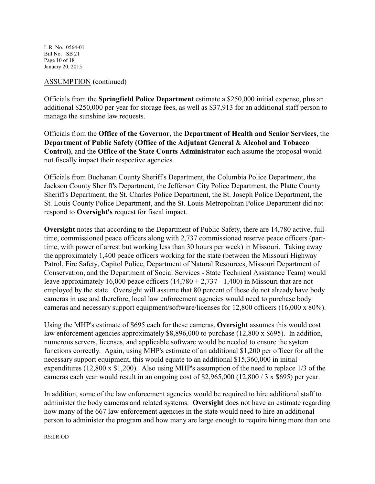L.R. No. 0564-01 Bill No. SB 21 Page 10 of 18 January 20, 2015

### ASSUMPTION (continued)

Officials from the **Springfield Police Department** estimate a \$250,000 initial expense, plus an additional \$250,000 per year for storage fees, as well as \$37,913 for an additional staff person to manage the sunshine law requests.

Officials from the **Office of the Governor**, the **Department of Health and Senior Services**, the **Department of Public Safety (Office of the Adjutant General** & **Alcohol and Tobacco Control)**, and the **Office of the State Courts Administrator** each assume the proposal would not fiscally impact their respective agencies.

Officials from Buchanan County Sheriff's Department, the Columbia Police Department, the Jackson County Sheriff's Department, the Jefferson City Police Department, the Platte County Sheriff's Department, the St. Charles Police Department, the St. Joseph Police Department, the St. Louis County Police Department, and the St. Louis Metropolitan Police Department did not respond to **Oversight's** request for fiscal impact.

**Oversight** notes that according to the Department of Public Safety, there are 14,780 active, fulltime, commissioned peace officers along with 2,737 commissioned reserve peace officers (parttime, with power of arrest but working less than 30 hours per week) in Missouri. Taking away the approximately 1,400 peace officers working for the state (between the Missouri Highway Patrol, Fire Safety, Capitol Police, Department of Natural Resources, Missouri Department of Conservation, and the Department of Social Services - State Technical Assistance Team) would leave approximately 16,000 peace officers  $(14,780 + 2,737 - 1,400)$  in Missouri that are not employed by the state. Oversight will assume that 80 percent of these do not already have body cameras in use and therefore, local law enforcement agencies would need to purchase body cameras and necessary support equipment/software/licenses for 12,800 officers (16,000 x 80%).

Using the MHP's estimate of \$695 each for these cameras, **Oversight** assumes this would cost law enforcement agencies approximately \$8,896,000 to purchase (12,800 x \$695). In addition, numerous servers, licenses, and applicable software would be needed to ensure the system functions correctly. Again, using MHP's estimate of an additional \$1,200 per officer for all the necessary support equipment, this would equate to an additional \$15,360,000 in initial expenditures (12,800 x \$1,200). Also using MHP's assumption of the need to replace 1/3 of the cameras each year would result in an ongoing cost of \$2,965,000 (12,800 / 3 x \$695) per year.

In addition, some of the law enforcement agencies would be required to hire additional staff to administer the body cameras and related systems. **Oversight** does not have an estimate regarding how many of the 667 law enforcement agencies in the state would need to hire an additional person to administer the program and how many are large enough to require hiring more than one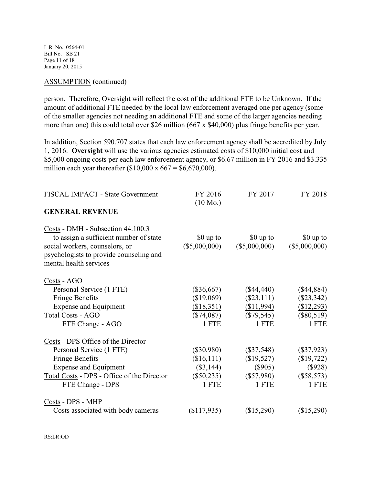L.R. No. 0564-01 Bill No. SB 21 Page 11 of 18 January 20, 2015

#### ASSUMPTION (continued)

person. Therefore, Oversight will reflect the cost of the additional FTE to be Unknown. If the amount of additional FTE needed by the local law enforcement averaged one per agency (some of the smaller agencies not needing an additional FTE and some of the larger agencies needing more than one) this could total over \$26 million (667 x \$40,000) plus fringe benefits per year.

In addition, Section 590.707 states that each law enforcement agency shall be accredited by July 1, 2016. **Oversight** will use the various agencies estimated costs of \$10,000 initial cost and \$5,000 ongoing costs per each law enforcement agency, or \$6.67 million in FY 2016 and \$3.335 million each year thereafter  $(\$10,000 \times 667 = \$6,670,000)$ .

| FISCAL IMPACT - State Government                                                                                                                                                           | FY 2016<br>$(10 \text{ Mo.})$                                      | FY 2017                                                             | FY 2018                                                             |
|--------------------------------------------------------------------------------------------------------------------------------------------------------------------------------------------|--------------------------------------------------------------------|---------------------------------------------------------------------|---------------------------------------------------------------------|
| <b>GENERAL REVENUE</b>                                                                                                                                                                     |                                                                    |                                                                     |                                                                     |
| Costs - DMH - Subsection 44.100.3<br>to assign a sufficient number of state<br>social workers, counselors, or<br>psychologists to provide counseling and<br>mental health services         | \$0 up to<br>$(\$5,000,000)$                                       | \$0 up to<br>$(\$5,000,000)$                                        | \$0 up to<br>$(\$5,000,000)$                                        |
| Costs - AGO<br>Personal Service (1 FTE)<br><b>Fringe Benefits</b><br><b>Expense and Equipment</b><br>Total Costs - AGO<br>FTE Change - AGO                                                 | $(\$36,667)$<br>(\$19,069)<br>(\$18,351)<br>$(\$74,087)$<br>1 FTE  | $(\$44,440)$<br>$(\$23,111)$<br>(\$11,994)<br>$(\$79,545)$<br>1 FTE | $(\$44,884)$<br>$(\$23,342)$<br>(\$12,293)<br>$(\$80,519)$<br>1 FTE |
| Costs - DPS Office of the Director<br>Personal Service (1 FTE)<br><b>Fringe Benefits</b><br><b>Expense and Equipment</b><br>Total Costs - DPS - Office of the Director<br>FTE Change - DPS | $(\$30,980)$<br>(\$16,111)<br>$(\$3,144)$<br>$(\$50,235)$<br>1 FTE | $(\$37,548)$<br>(\$19,527)<br>$(\$905)$<br>$(\$57,980)$<br>1 FTE    | $(\$37,923)$<br>(\$19,722)<br>(\$928)<br>$(\$58,573)$<br>1 FTE      |
| Costs - DPS - MHP<br>Costs associated with body cameras                                                                                                                                    | \$117,935                                                          | (\$15,290)                                                          | (\$15,290)                                                          |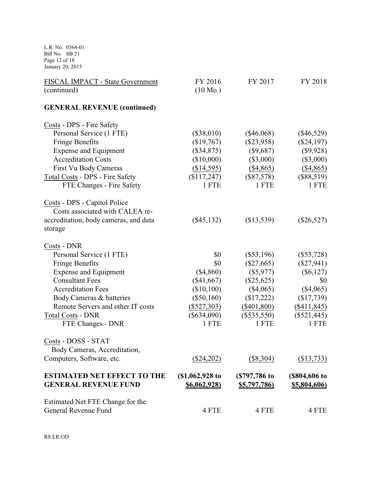L.R. No. 0564-01 Bill No. SB 21 Page 12 of 18 January 20, 2015

| FISCAL IMPACT - State Government      | FY 2016             | FY 2017             | FY 2018             |
|---------------------------------------|---------------------|---------------------|---------------------|
| (continued)                           | $(10 \text{ Mo.})$  |                     |                     |
| <b>GENERAL REVENUE (continued)</b>    |                     |                     |                     |
| Costs - DPS - Fire Safety             |                     |                     |                     |
| Personal Service (1 FTE)              | (\$38,010)          | $(\$46,068)$        | $(\$46,529)$        |
| <b>Fringe Benefits</b>                | (\$19,767)          | $(\$23,958)$        | $(\$24,197)$        |
| <b>Expense and Equipment</b>          | (\$34,875)          | $(\$9,687)$         | (\$9,928)           |
| <b>Accreditation Costs</b>            | (\$10,000)          | $(\$3,000)$         | $(\$3,000)$         |
| First Vu Body Cameras                 | (\$14,595)          | (\$4,865)           | (\$4,865)           |
| Total Costs - DPS - Fire Safety       | (\$117,247)         | $(\$87,578)$        | $(\$88,519)$        |
| FTE Changes - Fire Safety             | 1 FTE               | 1 FTE               | 1 FTE               |
| Costs - DPS - Capitol Police          |                     |                     |                     |
| Costs associated with CALEA re-       |                     |                     |                     |
| accreditation, body cameras, and data | $(\$45,132)$        | (\$13,539)          | $(\$26,527)$        |
| storage                               |                     |                     |                     |
| Costs - DNR                           |                     |                     |                     |
| Personal Service (1 FTE)              | \$0                 | $(\$53,196)$        | $(\$53,728)$        |
| <b>Fringe Benefits</b>                | \$0                 | $(\$27,665)$        | $(\$27,941)$        |
| <b>Expense and Equipment</b>          | $(\$4,860)$         | $(\$5,977)$         | $(\$6,127)$         |
| <b>Consultant Fees</b>                | (\$41,667)          | $(\$25,625)$        | \$0                 |
| <b>Accreditation Fees</b>             | (\$10,100)          | $(\$4,065)$         | $(\$4,065)$         |
| Body Cameras & batteries              | $(\$50,160)$        | (\$17,222)          | (\$17,739)          |
| Remote Servers and other IT costs     | $(\$527,303)$       | $(\$401,800)$       | $($ \$411,845)      |
| <b>Total Costs - DNR</b>              | $(\$634,090)$       | $(\$535,550)$       | $(\$521,445)$       |
| FTE Changes - DNR                     | 1 FTE               | 1 FTE               | 1 FTE               |
| Costs - DOSS - STAT                   |                     |                     |                     |
| Body Cameras, Accreditation,          |                     |                     |                     |
| Computers, Software, etc.             | $(\$24,202)$        | $(\$8,304)$         | (\$13,733)          |
| <b>ESTIMATED NET EFFECT TO THE</b>    | (\$1,062,928 to     | (\$797,786 to       | (\$804,606 to       |
| <b>GENERAL REVENUE FUND</b>           | <u>\$6,062,928)</u> | <u>\$5,797,786)</u> | <u>\$5,804,606)</u> |
| Estimated Net FTE Change for the      |                     |                     |                     |
| General Revenue Fund                  | 4 FTE               | 4 FTE               | 4 FTE               |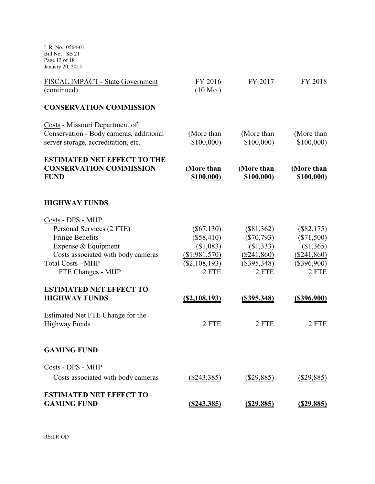L.R. No. 0564-01 Bill No. SB 21 Page 13 of 18 January 20, 2015

| FISCAL IMPACT - State Government<br>(continued)                                                                                                                                        | FY 2016<br>$(10 \text{ Mo.})$                                                           | FY 2017                                                                              | FY 2018                                                                              |
|----------------------------------------------------------------------------------------------------------------------------------------------------------------------------------------|-----------------------------------------------------------------------------------------|--------------------------------------------------------------------------------------|--------------------------------------------------------------------------------------|
| <b>CONSERVATION COMMISSION</b>                                                                                                                                                         |                                                                                         |                                                                                      |                                                                                      |
| Costs - Missouri Department of<br>Conservation - Body cameras, additional<br>server storage, accreditation, etc.                                                                       | (More than<br>\$100,000                                                                 | (More than<br>\$100,000                                                              | (More than<br>\$100,000                                                              |
| <b>ESTIMATED NET EFFECT TO THE</b><br><b>CONSERVATION COMMISSION</b><br><b>FUND</b>                                                                                                    | (More than<br>\$100,000)                                                                | (More than<br>\$100,000)                                                             | (More than<br>\$100,000)                                                             |
| <b>HIGHWAY FUNDS</b>                                                                                                                                                                   |                                                                                         |                                                                                      |                                                                                      |
| Costs - DPS - MHP<br>Personal Services (2 FTE)<br><b>Fringe Benefits</b><br>Expense & Equipment<br>Costs associated with body cameras<br><b>Total Costs - MHP</b><br>FTE Changes - MHP | $(\$67,130)$<br>$(\$58,410)$<br>(\$1,083)<br>( \$1,981,570)<br>$(\$2,108,193)$<br>2 FTE | $(\$81,362)$<br>$(\$70,793)$<br>(\$1,333)<br>$(\$241,860)$<br>$(\$395,348)$<br>2 FTE | $(\$82,175)$<br>$(\$71,500)$<br>(\$1,365)<br>$(\$241,860)$<br>$(\$396,900)$<br>2 FTE |
| <b>ESTIMATED NET EFFECT TO</b><br><b>HIGHWAY FUNDS</b>                                                                                                                                 | <u>(\$2,108,193)</u>                                                                    | <u>(\$395,348)</u>                                                                   | <u>(\$396,900)</u>                                                                   |
| Estimated Net FTE Change for the<br><b>Highway Funds</b>                                                                                                                               | 2 FTE                                                                                   | 2 FTE                                                                                | 2 FTE                                                                                |
| <b>GAMING FUND</b>                                                                                                                                                                     |                                                                                         |                                                                                      |                                                                                      |
| Costs - DPS - MHP                                                                                                                                                                      |                                                                                         |                                                                                      |                                                                                      |
| Costs associated with body cameras                                                                                                                                                     | (\$243,385)                                                                             | (\$29,885)                                                                           | $(\$29,885)$                                                                         |
| <b>ESTIMATED NET EFFECT TO</b><br><b>GAMING FUND</b>                                                                                                                                   | (S243, 385)                                                                             | <u>(\$29,885)</u>                                                                    | <u>(\$29,885)</u>                                                                    |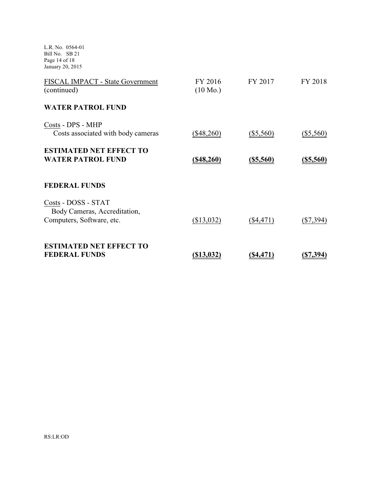L.R. No. 0564-01 Bill No. SB 21 Page 14 of 18 January 20, 2015

| FISCAL IMPACT - State Government<br>(continued)                                  | FY 2016<br>$(10 \text{ Mo.})$ | FY 2017          | FY 2018          |
|----------------------------------------------------------------------------------|-------------------------------|------------------|------------------|
| <b>WATER PATROL FUND</b>                                                         |                               |                  |                  |
| Costs - DPS - MHP<br>Costs associated with body cameras                          | $(\$48,260)$                  | $(\$5,560)$      | $(\$5,560)$      |
| <b>ESTIMATED NET EFFECT TO</b><br><b>WATER PATROL FUND</b>                       | $($ \$48,260)                 | <u>(\$5,560)</u> | <u>(\$5,560)</u> |
| <b>FEDERAL FUNDS</b>                                                             |                               |                  |                  |
| Costs - DOSS - STAT<br>Body Cameras, Accreditation,<br>Computers, Software, etc. | (\$13,032)                    | $(\$4,471)$      | $(\$7,394)$      |
| <b>ESTIMATED NET EFFECT TO</b><br><b>FEDERAL FUNDS</b>                           | <u>(\$13,032)</u>             | (\$4,471         | (S7, 394)        |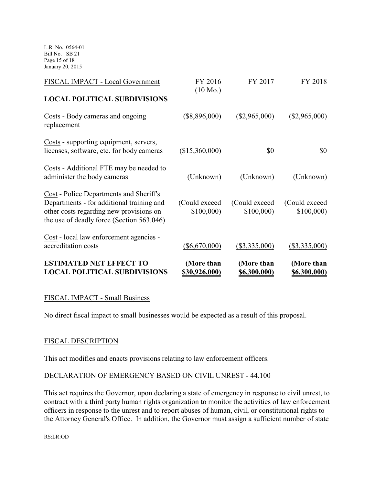L.R. No. 0564-01 Bill No. SB 21 Page 15 of 18 January 20, 2015

| <b>ESTIMATED NET EFFECT TO</b><br><b>LOCAL POLITICAL SUBDIVISIONS</b>                                                                                                        | (More than<br>\$30,926,000) | (More than<br><u>\$6,300,000)</u> | (More than<br><u>\$6,300,000)</u> |
|------------------------------------------------------------------------------------------------------------------------------------------------------------------------------|-----------------------------|-----------------------------------|-----------------------------------|
| Cost - local law enforcement agencies -<br>accreditation costs                                                                                                               | $(\$6,670,000)$             | $(\$3,335,000)$                   | $(\$3,335,000)$                   |
| Cost - Police Departments and Sheriff's<br>Departments - for additional training and<br>other costs regarding new provisions on<br>the use of deadly force (Section 563.046) | (Could exceed)<br>\$100,000 | (Could exceed)<br>\$100,000       | (Could exceed)<br>\$100,000       |
| Costs - Additional FTE may be needed to<br>administer the body cameras                                                                                                       | (Unknown)                   | (Unknown)                         | (Unknown)                         |
| Costs - supporting equipment, servers,<br>licenses, software, etc. for body cameras                                                                                          | (\$15,360,000)              | \$0                               | \$0                               |
| Costs - Body cameras and ongoing<br>replacement                                                                                                                              | $(\$8,896,000)$             | $(\$2,965,000)$                   | $(\$2,965,000)$                   |
| <b>LOCAL POLITICAL SUBDIVISIONS</b>                                                                                                                                          | $(10 \text{ Mo.})$          |                                   |                                   |
| FISCAL IMPACT - Local Government                                                                                                                                             | FY 2016                     | FY 2017                           | FY 2018                           |

## FISCAL IMPACT - Small Business

No direct fiscal impact to small businesses would be expected as a result of this proposal.

## FISCAL DESCRIPTION

This act modifies and enacts provisions relating to law enforcement officers.

## DECLARATION OF EMERGENCY BASED ON CIVIL UNREST - 44.100

This act requires the Governor, upon declaring a state of emergency in response to civil unrest, to contract with a third party human rights organization to monitor the activities of law enforcement officers in response to the unrest and to report abuses of human, civil, or constitutional rights to the Attorney General's Office. In addition, the Governor must assign a sufficient number of state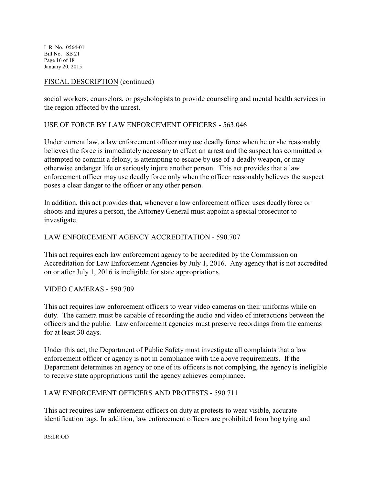L.R. No. 0564-01 Bill No. SB 21 Page 16 of 18 January 20, 2015

## FISCAL DESCRIPTION (continued)

social workers, counselors, or psychologists to provide counseling and mental health services in the region affected by the unrest.

## USE OF FORCE BY LAW ENFORCEMENT OFFICERS - 563.046

Under current law, a law enforcement officer may use deadly force when he or she reasonably believes the force is immediately necessary to effect an arrest and the suspect has committed or attempted to commit a felony, is attempting to escape by use of a deadly weapon, or may otherwise endanger life or seriously injure another person. This act provides that a law enforcement officer may use deadly force only when the officer reasonably believes the suspect poses a clear danger to the officer or any other person.

In addition, this act provides that, whenever a law enforcement officer uses deadly force or shoots and injures a person, the Attorney General must appoint a special prosecutor to investigate.

## LAW ENFORCEMENT AGENCY ACCREDITATION - 590.707

This act requires each law enforcement agency to be accredited by the Commission on Accreditation for Law Enforcement Agencies by July 1, 2016. Any agency that is not accredited on or after July 1, 2016 is ineligible for state appropriations.

## VIDEO CAMERAS - 590.709

This act requires law enforcement officers to wear video cameras on their uniforms while on duty. The camera must be capable of recording the audio and video of interactions between the officers and the public. Law enforcement agencies must preserve recordings from the cameras for at least 30 days.

Under this act, the Department of Public Safety must investigate all complaints that a law enforcement officer or agency is not in compliance with the above requirements. If the Department determines an agency or one of its officers is not complying, the agency is ineligible to receive state appropriations until the agency achieves compliance.

## LAW ENFORCEMENT OFFICERS AND PROTESTS - 590.711

This act requires law enforcement officers on duty at protests to wear visible, accurate identification tags. In addition, law enforcement officers are prohibited from hog tying and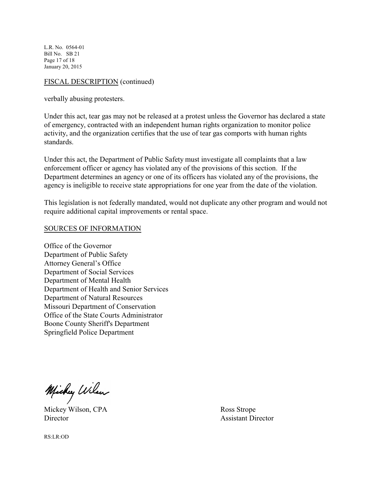L.R. No. 0564-01 Bill No. SB 21 Page 17 of 18 January 20, 2015

## FISCAL DESCRIPTION (continued)

verbally abusing protesters.

Under this act, tear gas may not be released at a protest unless the Governor has declared a state of emergency, contracted with an independent human rights organization to monitor police activity, and the organization certifies that the use of tear gas comports with human rights standards.

Under this act, the Department of Public Safety must investigate all complaints that a law enforcement officer or agency has violated any of the provisions of this section. If the Department determines an agency or one of its officers has violated any of the provisions, the agency is ineligible to receive state appropriations for one year from the date of the violation.

This legislation is not federally mandated, would not duplicate any other program and would not require additional capital improvements or rental space.

#### SOURCES OF INFORMATION

Office of the Governor Department of Public Safety Attorney General's Office Department of Social Services Department of Mental Health Department of Health and Senior Services Department of Natural Resources Missouri Department of Conservation Office of the State Courts Administrator Boone County Sheriff's Department Springfield Police Department

Michy Wilson

Mickey Wilson, CPA Ross Strope Director Assistant Director Assistant Director

RS:LR:OD